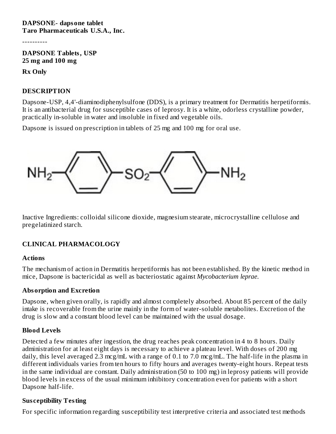#### **DAPSONE- dapsone tablet Taro Pharmaceuticals U.S.A., Inc.**

----------

**DAPSONE Tablets, USP 25 mg and 100 mg**

**Rx Only**

### **DESCRIPTION**

Dapsone-USP, 4,4'-diaminodiphenylsulfone (DDS), is a primary treatment for Dermatitis herpetiformis. It is an antibacterial drug for susceptible cases of leprosy. It is a white, odorless crystalline powder, practically in-soluble in water and insoluble in fixed and vegetable oils.

Dapsone is issued on prescription in tablets of 25 mg and 100 mg for oral use.



Inactive Ingredients: colloidal silicone dioxide, magnesium stearate, microcrystalline cellulose and pregelatinized starch.

# **CLINICAL PHARMACOLOGY**

#### **Actions**

The mechanism of action in Dermatitis herpetiformis has not been established. By the kinetic method in mice, Dapsone is bactericidal as well as bacteriostatic against *Mycobacterium leprae*.

### **Absorption and Excretion**

Dapsone, when given orally, is rapidly and almost completely absorbed. About 85 percent of the daily intake is recoverable from the urine mainly in the form of water-soluble metabolites. Excretion of the drug is slow and a constant blood level can be maintained with the usual dosage.

### **Blood Levels**

Detected a few minutes after ingestion, the drug reaches peak concentration in 4 to 8 hours. Daily administration for at least eight days is necessary to achieve a plateau level. With doses of 200 mg daily, this level averaged 2.3 mcg/mL with a range of 0.1 to 7.0 mcg/mL. The half-life in the plasma in different individuals varies from ten hours to fifty hours and averages twenty-eight hours. Repeat tests in the same individual are constant. Daily administration (50 to 100 mg) in leprosy patients will provide blood levels in excess of the usual minimum inhibitory concentration even for patients with a short Dapsone half-life.

### **Sus ceptibility Testing**

For specific information regarding susceptibility test interpretive criteria and associated test methods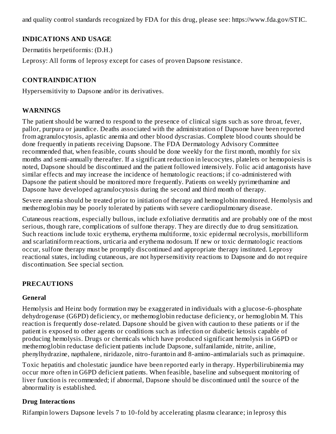and quality control standards recognized by FDA for this drug, please see: https://www.fda.gov/STIC.

# **INDICATIONS AND USAGE**

Dermatitis herpetiformis: (D.H.) Leprosy: All forms of leprosy except for cases of proven Dapsone resistance.

# **CONTRAINDICATION**

Hypersensitivity to Dapsone and/or its derivatives.

### **WARNINGS**

The patient should be warned to respond to the presence of clinical signs such as sore throat, fever, pallor, purpura or jaundice. Deaths associated with the administration of Dapsone have been reported from agranulocytosis, aplastic anemia and other blood dyscrasias. Complete blood counts should be done frequently in patients receiving Dapsone. The FDA Dermatology Advisory Committee recommended that, when feasible, counts should be done weekly for the first month, monthly for six months and semi-annually thereafter. If a significant reduction in leucocytes, platelets or hemopoiesis is noted, Dapsone should be discontinued and the patient followed intensively. Folic acid antagonists have similar effects and may increase the incidence of hematologic reactions; if co-administered with Dapsone the patient should be monitored more frequently. Patients on weekly pyrimethamine and Dapsone have developed agranulocytosis during the second and third month of therapy.

Severe anemia should be treated prior to initiation of therapy and hemoglobin monitored. Hemolysis and methemoglobin may be poorly tolerated by patients with severe cardiopulmonary disease.

Cutaneous reactions, especially bullous, include exfoliative dermatitis and are probably one of the most serious, though rare, complications of sulfone therapy. They are directly due to drug sensitization. Such reactions include toxic erythema, erythema multiforme, toxic epidermal necrolysis, morbilliform and scarlatiniform reactions, urticaria and erythema nodosum. If new or toxic dermatologic reactions occur, sulfone therapy must be promptly discontinued and appropriate therapy instituted. Leprosy reactional states, including cutaneous, are not hypersensitivity reactions to Dapsone and do not require discontinuation. See special section.

# **PRECAUTIONS**

# **General**

Hemolysis and Heinz body formation may be exaggerated in individuals with a glucose-6-phosphate dehydrogenase (G6PD) deficiency, or methemoglobin reductase deficiency, or hemoglobin M. This reaction is frequently dose-related. Dapsone should be given with caution to these patients or if the patient is exposed to other agents or conditions such as infection or diabetic ketosis capable of producing hemolysis. Drugs or chemicals which have produced significant hemolysis in G6PD or methemoglobin reductase deficient patients include Dapsone, sulfanilamide, nitrite, aniline, phenylhydrazine, napthalene, niridazole, nitro-furantoin and 8-amino-antimalarials such as primaquine.

Toxic hepatitis and cholestatic jaundice have been reported early in therapy. Hyperbilirubinemia may occur more often in G6PD deficient patients. When feasible, baseline and subsequent monitoring of liver function is recommended; if abnormal, Dapsone should be discontinued until the source of the abnormality is established.

# **Drug Interactions**

Rifampin lowers Dapsone levels 7 to 10-fold by accelerating plasma clearance; in leprosy this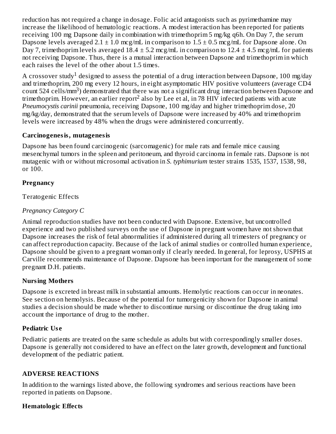reduction has not required a change in dosage. Folic acid antagonists such as pyrimethamine may increase the likelihood of hematologic reactions. A modest interaction has been reported for patients receiving 100 mg Dapsone daily in combination with trimethoprim 5 mg/kg q6h. On Day 7, the serum Dapsone levels averaged  $2.1 \pm 1.0$  mcg/mL in comparison to  $1.5 \pm 0.5$  mcg/mL for Dapsone alone. On Day 7, trimethoprim levels averaged  $18.4 \pm 5.2$  mcg/mL in comparison to  $12.4 \pm 4.5$  mcg/mL for patients not receiving Dapsone. Thus, there is a mutual interaction between Dapsone and trimethoprim in which each raises the level of the other about 1.5 times.

A crossover study $^1$  designed to assess the potential of a drug interaction between Dapsone, 100 mg/day and trimethoprim, 200 mg every 12 hours, in eight asymptomatic HIV positive volunteers (average CD4 count 524 cells/mm<sup>3</sup>) demonstrated that there was not a significant drug interaction between Dapsone and trimethoprim. However, an earlier report<sup>2</sup> also by Lee et al, in 78 HIV infected patients with acute *Pneumocystis carinii* pneumonia, receiving Dapsone, 100 mg/day and higher trimethoprim dose, 20 mg/kg/day, demonstrated that the serum levels of Dapsone were increased by 40% and trimethoprim levels were increased by 48% when the drugs were administered concurrently.

# **Carcinogenesis, mutagenesis**

Dapsone has been found carcinogenic (sarcomagenic) for male rats and female mice causing mesenchymal tumors in the spleen and peritoneum, and thyroid carcinoma in female rats. Dapsone is not mutagenic with or without microsomal activation in *S. typhimurium* tester strains 1535, 1537, 1538, 98, or 100.

# **Pregnancy**

Teratogenic Effects

# *Pregnancy Category C*

Animal reproduction studies have not been conducted with Dapsone. Extensive, but uncontrolled experience and two published surveys on the use of Dapsone in pregnant women have not shown that Dapsone increases the risk of fetal abnormalities if administered during all trimesters of pregnancy or can affect reproduction capacity. Because of the lack of animal studies or controlled human experience, Dapsone should be given to a pregnant woman only if clearly needed. In general, for leprosy, USPHS at Carville recommends maintenance of Dapsone. Dapsone has been important for the management of some pregnant D.H. patients.

# **Nursing Mothers**

Dapsone is excreted in breast milk in substantial amounts. Hemolytic reactions can occur in neonates. See section on hemolysis. Because of the potential for tumorgenicity shown for Dapsone in animal studies a decision should be made whether to discontinue nursing or discontinue the drug taking into account the importance of drug to the mother.

# **Pediatric Us e**

Pediatric patients are treated on the same schedule as adults but with correspondingly smaller doses. Dapsone is generally not considered to have an effect on the later growth, development and functional development of the pediatric patient.

# **ADVERSE REACTIONS**

In addition to the warnings listed above, the following syndromes and serious reactions have been reported in patients on Dapsone.

# **Hematologic Effects**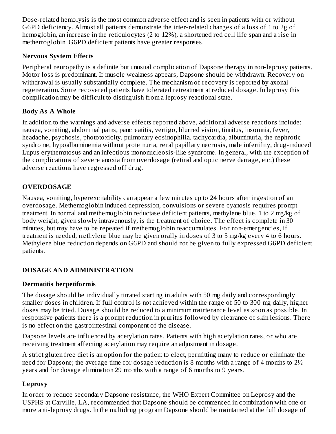Dose-related hemolysis is the most common adverse effect and is seen in patients with or without G6PD deficiency. Almost all patients demonstrate the inter-related changes of a loss of 1 to 2g of hemoglobin, an increase in the reticulocytes (2 to 12%), a shortened red cell life span and a rise in methemoglobin. G6PD deficient patients have greater responses.

### **Nervous System Effects**

Peripheral neuropathy is a definite but unusual complication of Dapsone therapy in non-leprosy patients. Motor loss is predominant. If muscle weakness appears, Dapsone should be withdrawn. Recovery on withdrawal is usually substantially complete. The mechanism of recovery is reported by axonal regeneration. Some recovered patients have tolerated retreatment at reduced dosage. In leprosy this complication may be difficult to distinguish from a leprosy reactional state.

# **Body As A Whole**

In addition to the warnings and adverse effects reported above, additional adverse reactions include: nausea, vomiting, abdominal pains, pancreatitis, vertigo, blurred vision, tinnitus, insomnia, fever, headache, psychosis, phototoxicity, pulmonary eosinophilia, tachycardia, albuminuria, the nephrotic syndrome, hypoalbuminemia without proteinuria, renal papillary necrosis, male infertility, drug-induced Lupus erythematosus and an infectious mononucleosis-like syndrome. In general, with the exception of the complications of severe anoxia from overdosage (retinal and optic nerve damage, etc.) these adverse reactions have regressed off drug.

# **OVERDOSAGE**

Nausea, vomiting, hyperexcitability can appear a few minutes up to 24 hours after ingestion of an overdosage. Methemoglobin induced depression, convulsions or severe cyanosis requires prompt treatment. In normal and methemoglobin reductase deficient patients, methylene blue, 1 to 2 mg/kg of body weight, given slowly intravenously, is the treatment of choice. The effect is complete in 30 minutes, but may have to be repeated if methemoglobin reaccumulates. For non-emergencies, if treatment is needed, methylene blue may be given orally in doses of 3 to 5 mg/kg every 4 to 6 hours. Methylene blue reduction depends on G6PD and should not be given to fully expressed G6PD deficient patients.

# **DOSAGE AND ADMINISTRATION**

### **Dermatitis herpetiformis**

The dosage should be individually titrated starting in adults with 50 mg daily and correspondingly smaller doses in children. If full control is not achieved within the range of 50 to 300 mg daily, higher doses may be tried. Dosage should be reduced to a minimum maintenance level as soon as possible. In responsive patients there is a prompt reduction in pruritus followed by clearance of skin lesions. There is no effect on the gastrointestinal component of the disease.

Dapsone levels are influenced by acetylation rates. Patients with high acetylation rates, or who are receiving treatment affecting acetylation may require an adjustment in dosage.

A strict gluten free diet is an option for the patient to elect, permitting many to reduce or eliminate the need for Dapsone; the average time for dosage reduction is 8 months with a range of 4 months to 2½ years and for dosage elimination 29 months with a range of 6 months to 9 years.

# **Leprosy**

In order to reduce secondary Dapsone resistance, the WHO Expert Committee on Leprosy and the USPHS at Carville, LA, recommended that Dapsone should be commenced in combination with one or more anti-leprosy drugs. In the multidrug program Dapsone should be maintained at the full dosage of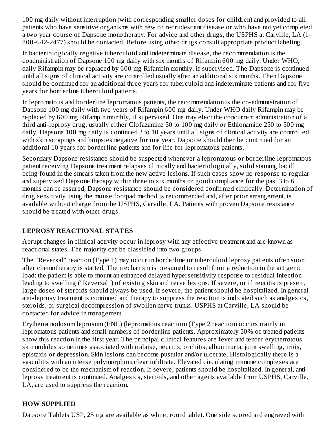100 mg daily without interruption (with corresponding smaller doses for children) and provided to all patients who have sensitive organisms with new or recrudescent disease or who have not yet completed a two year course of Dapsone monotherapy. For advice and other drugs, the USPHS at Carville, LA (1- 800-642-2477) should be contacted. Before using other drugs consult appropriate product labeling.

In bacteriologically negative tuberculoid and indeterminate disease, the recommendation is the coadministration of Dapsone 100 mg daily with six months of Rifampin 600 mg daily. Under WHO, daily Rifampin may be replaced by 600 mg Rifampin monthly, if supervised. The Dapsone is continued until all signs of clinical activity are controlled usually after an additional six months. Then Dapsone should be continued for an additional three years for tuberculoid and indeterminate patients and for five years for borderline tuberculoid patients.

In lepromatous and borderline lepromatous patients, the recommendation is the co-administration of Dapsone 100 mg daily with two years of Rifampin 600 mg daily. Under WHO daily Rifampin may be replaced by 600 mg Rifampin monthly, if supervised. One may elect the concurrent administration of a third anti-leprosy drug, usually either Clofazamine 50 to 100 mg daily or Ethionamide 250 to 500 mg daily. Dapsone 100 mg daily is continued 3 to 10 years until all signs of clinical activity are controlled with skin scrapings and biopsies negative for one year. Dapsone should then be continued for an additional 10 years for borderline patients and for life for lepromatous patients.

Secondary Dapsone resistance should be suspected whenever a lepromatous or borderline lepromatous patient receiving Dapsone treatment relapses clinically and bacteriologically, solid staining bacilli being found in the smears taken from the new active lesions. If such cases show no response to regular and supervised Dapsone therapy within three to six months or good compliance for the past 3 to 6 months can be assured, Dapsone resistance should be considered confirmed clinically. Determination of drug sensitivity using the mouse footpad method is recommended and, after prior arrangement, is available without charge from the USPHS, Carville, LA. Patients with proven Dapsone resistance should be treated with other drugs.

# **LEPROSY REACTIONAL STATES**

Abrupt changes in clinical activity occur in leprosy with any effective treatment and are known as reactional states. The majority can be classified into two groups.

The "Reversal" reaction (Type 1) may occur in borderline or tuberculoid leprosy patients often soon after chemotherapy is started. The mechanism is presumed to result from a reduction in the antigenic load: the patient is able to mount an enhanced delayed hypersensitivity response to residual infection leading to swelling ("Reversal") of existing skin and nerve lesions. If severe, or if neuritis is present, large doses of steroids should always be used. If severe, the patient should be hospitalized. In general anti-leprosy treatment is continued and therapy to suppress the reaction is indicated such as analgesics, steroids, or surgical decompression of swollen nerve trunks. USPHS at Carville, LA should be contacted for advice in management.

Erythema nodosum leprosum (ENL) (lepromatous reaction) (Type 2 reaction) occurs mainly in lepromatous patients and small numbers of borderline patients. Approximately 50% of treated patients show this reaction in the first year. The principal clinical features are fever and tender erythematous skin nodules sometimes associated with malaise, neuritis, orchitis, albuminuria, joint swelling, iritis, epistaxis or depression. Skin lesions can become pustular and/or ulcerate. Histologically there is a vasculitis with an intense polymorphonuclear infiltrate. Elevated circulating immune complexes are considered to be the mechanism of reaction. If severe, patients should be hospitalized. In general, antileprosy treatment is continued. Analgesics, steroids, and other agents available from USPHS, Carville, LA, are used to suppress the reaction.

# **HOW SUPPLIED**

Dapsone Tablets USP, 25 mg are available as white, round tablet. One side scored and engraved with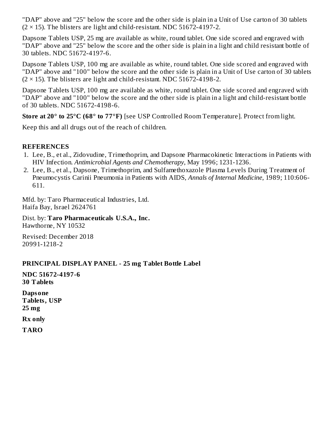"DAP" above and "25" below the score and the other side is plain in a Unit of Use carton of 30 tablets  $(2 \times 15)$ . The blisters are light and child-resistant. NDC 51672-4197-2.

Dapsone Tablets USP, 25 mg are available as white, round tablet. One side scored and engraved with "DAP" above and "25" below the score and the other side is plain in a light and child resistant bottle of 30 tablets. NDC 51672-4197-6.

Dapsone Tablets USP, 100 mg are available as white, round tablet. One side scored and engraved with "DAP" above and "100" below the score and the other side is plain in a Unit of Use carton of 30 tablets  $(2 \times 15)$ . The blisters are light and child-resistant. NDC 51672-4198-2.

Dapsone Tablets USP, 100 mg are available as white, round tablet. One side scored and engraved with "DAP" above and "100" below the score and the other side is plain in a light and child-resistant bottle of 30 tablets. NDC 51672-4198-6.

**Store at 20° to 25°C (68° to 77°F)** [see USP Controlled Room Temperature]. Protect from light.

Keep this and all drugs out of the reach of children.

# **REFERENCES**

- 1. Lee, B., et al., Zidovudine, Trimethoprim, and Dapsone Pharmacokinetic Interactions in Patients with HIV Infection. *Antimicrobial Agents and Chemotherapy*, May 1996; 1231-1236.
- 2. Lee, B., et al., Dapsone, Trimethoprim, and Sulfamethoxazole Plasma Levels During Treatment of Pneumocystis Carinii Pneumonia in Patients with AIDS, *Annals of Internal Medicine*, 1989; 110:606- 611.

Mfd. by: Taro Pharmaceutical Industries, Ltd. Haifa Bay, Israel 2624761

Dist. by: **Taro Pharmaceuticals U.S.A., Inc.** Hawthorne, NY 10532

Revised: December 2018 20991-1218-2

# **PRINCIPAL DISPLAY PANEL - 25 mg Tablet Bottle Label**

**NDC 51672-4197-6 30 Tablets**

**Dapsone Tablets, USP 25 mg**

**Rx only**

**TARO**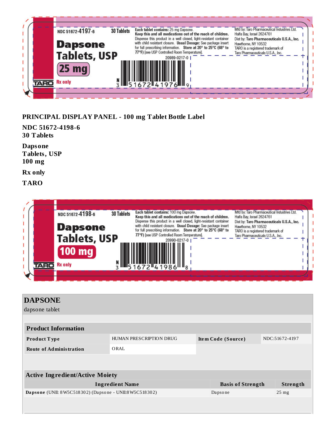

**PRINCIPAL DISPLAY PANEL - 100 mg Tablet Bottle Label**

**NDC 51672-4198-6 30 Tablets**

**Dapsone Tablets, USP 100 mg**

**Rx only**

**TARO**



| <b>DAPSONE</b>                                         |                         |                                      |                    |  |                 |  |
|--------------------------------------------------------|-------------------------|--------------------------------------|--------------------|--|-----------------|--|
| dapsone tablet                                         |                         |                                      |                    |  |                 |  |
|                                                        |                         |                                      |                    |  |                 |  |
| <b>Product Information</b>                             |                         |                                      |                    |  |                 |  |
| Product Type                                           | HUMAN PRESCRIPTION DRUG |                                      | Item Code (Source) |  | NDC:51672-4197  |  |
| <b>Route of Administration</b>                         | ORAL                    |                                      |                    |  |                 |  |
|                                                        |                         |                                      |                    |  |                 |  |
|                                                        |                         |                                      |                    |  |                 |  |
| <b>Active Ingredient/Active Moiety</b>                 |                         |                                      |                    |  |                 |  |
| <b>Ingredient Name</b>                                 |                         | <b>Basis of Strength</b><br>Strength |                    |  |                 |  |
| Dapsone (UNII: 8W5C518302) (Dapsone - UNII:8W5C518302) |                         |                                      | Dapsone            |  | $25 \text{ mg}$ |  |
|                                                        |                         |                                      |                    |  |                 |  |
|                                                        |                         |                                      |                    |  |                 |  |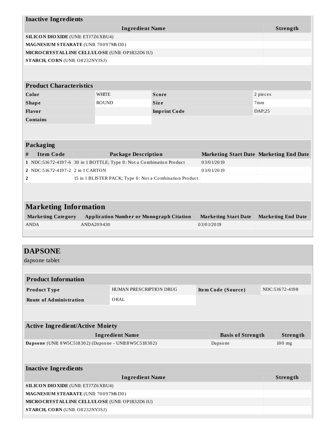| <b>Inactive Ingredients</b>  |                                       |                                                 |                                                                      |                             |                                         |                           |          |  |
|------------------------------|---------------------------------------|-------------------------------------------------|----------------------------------------------------------------------|-----------------------------|-----------------------------------------|---------------------------|----------|--|
|                              |                                       |                                                 | <b>Ingredient Name</b>                                               |                             |                                         |                           | Strength |  |
|                              | SILICON DIO XIDE (UNII: ETJ7Z6XBU4)   |                                                 |                                                                      |                             |                                         |                           |          |  |
|                              | MAGNESIUM STEARATE (UNII: 70097M6I30) |                                                 |                                                                      |                             |                                         |                           |          |  |
|                              |                                       |                                                 | MICRO CRYSTALLINE CELLULO SE (UNII: OP1R32D61U)                      |                             |                                         |                           |          |  |
|                              | STARCH, CORN (UNII: O8232NY3SJ)       |                                                 |                                                                      |                             |                                         |                           |          |  |
|                              |                                       |                                                 |                                                                      |                             |                                         |                           |          |  |
|                              | <b>Product Characteristics</b>        |                                                 |                                                                      |                             |                                         |                           |          |  |
|                              | Color                                 |                                                 | <b>WHITE</b>                                                         | <b>Score</b>                |                                         |                           | 2 pieces |  |
|                              | <b>Shape</b>                          |                                                 | <b>ROUND</b>                                                         | <b>Size</b>                 |                                         | 7mm                       |          |  |
|                              | Flavor                                |                                                 |                                                                      | <b>Imprint Code</b>         |                                         | DAP;25                    |          |  |
|                              | <b>Contains</b>                       |                                                 |                                                                      |                             |                                         |                           |          |  |
|                              |                                       |                                                 |                                                                      |                             |                                         |                           |          |  |
| Packaging                    |                                       |                                                 |                                                                      |                             |                                         |                           |          |  |
| #                            | <b>Item Code</b>                      |                                                 | <b>Package Description</b>                                           |                             | Marketing Start Date Marketing End Date |                           |          |  |
|                              |                                       |                                                 | 1 NDC:51672-4197-6 30 in 1 BOTTLE; Type 0: Not a Combination Product |                             | 03/01/2019                              |                           |          |  |
|                              | 2   NDC:51672-4197-2   2 in 1 CARTON  |                                                 |                                                                      |                             | 03/01/2019                              |                           |          |  |
| $\mathbf 2$                  |                                       |                                                 | 15 in 1 BLISTER PACK; Type 0: Not a Combination Product              |                             |                                         |                           |          |  |
|                              |                                       |                                                 |                                                                      |                             |                                         |                           |          |  |
|                              |                                       |                                                 |                                                                      |                             |                                         |                           |          |  |
| <b>Marketing Information</b> |                                       |                                                 |                                                                      |                             |                                         |                           |          |  |
| <b>Marketing Category</b>    |                                       | <b>Application Number or Monograph Citation</b> |                                                                      | <b>Marketing Start Date</b> |                                         | <b>Marketing End Date</b> |          |  |
| <b>ANDA</b>                  |                                       | ANDA209430                                      |                                                                      | 03/01/2019                  |                                         |                           |          |  |
|                              |                                       |                                                 |                                                                      |                             |                                         |                           |          |  |
|                              |                                       |                                                 |                                                                      |                             |                                         |                           |          |  |
| <b>DAPSONE</b>               |                                       |                                                 |                                                                      |                             |                                         |                           |          |  |
|                              | dapsone tablet                        |                                                 |                                                                      |                             |                                         |                           |          |  |
|                              |                                       |                                                 |                                                                      |                             |                                         |                           |          |  |
|                              | <b>Product Information</b>            |                                                 |                                                                      |                             |                                         |                           |          |  |

| <b>Product Type</b>                                           | HUMAN PRESCRIPTION DRUG<br>Item Code (Source) |          |  | NDC:51672-4198  |  |
|---------------------------------------------------------------|-----------------------------------------------|----------|--|-----------------|--|
| <b>Route of Administration</b>                                | ORAL                                          |          |  |                 |  |
|                                                               |                                               |          |  |                 |  |
| <b>Active Ingredient/Active Moiety</b>                        |                                               |          |  |                 |  |
| <b>Ingredient Name</b>                                        | <b>Basis of Strength</b>                      | Strength |  |                 |  |
| <b>Dapsone</b> (UNII: 8W5C518302) (Dapsone - UNII:8W5C518302) |                                               | $100$ mg |  |                 |  |
|                                                               |                                               |          |  |                 |  |
| <b>Inactive Ingredients</b>                                   |                                               |          |  |                 |  |
|                                                               | <b>Ingredient Name</b>                        |          |  | <b>Strength</b> |  |
| <b>SILICON DIO XIDE (UNII: ETJ7Z6XBU4)</b>                    |                                               |          |  |                 |  |
| MAGNESIUM STEARATE (UNII: 70097M6I30)                         |                                               |          |  |                 |  |
| MICRO CRYSTALLINE CELLULO SE (UNII: OP1R32D61U)               |                                               |          |  |                 |  |
| STARCH, CORN (UNII: O8232NY3SJ)                               |                                               |          |  |                 |  |